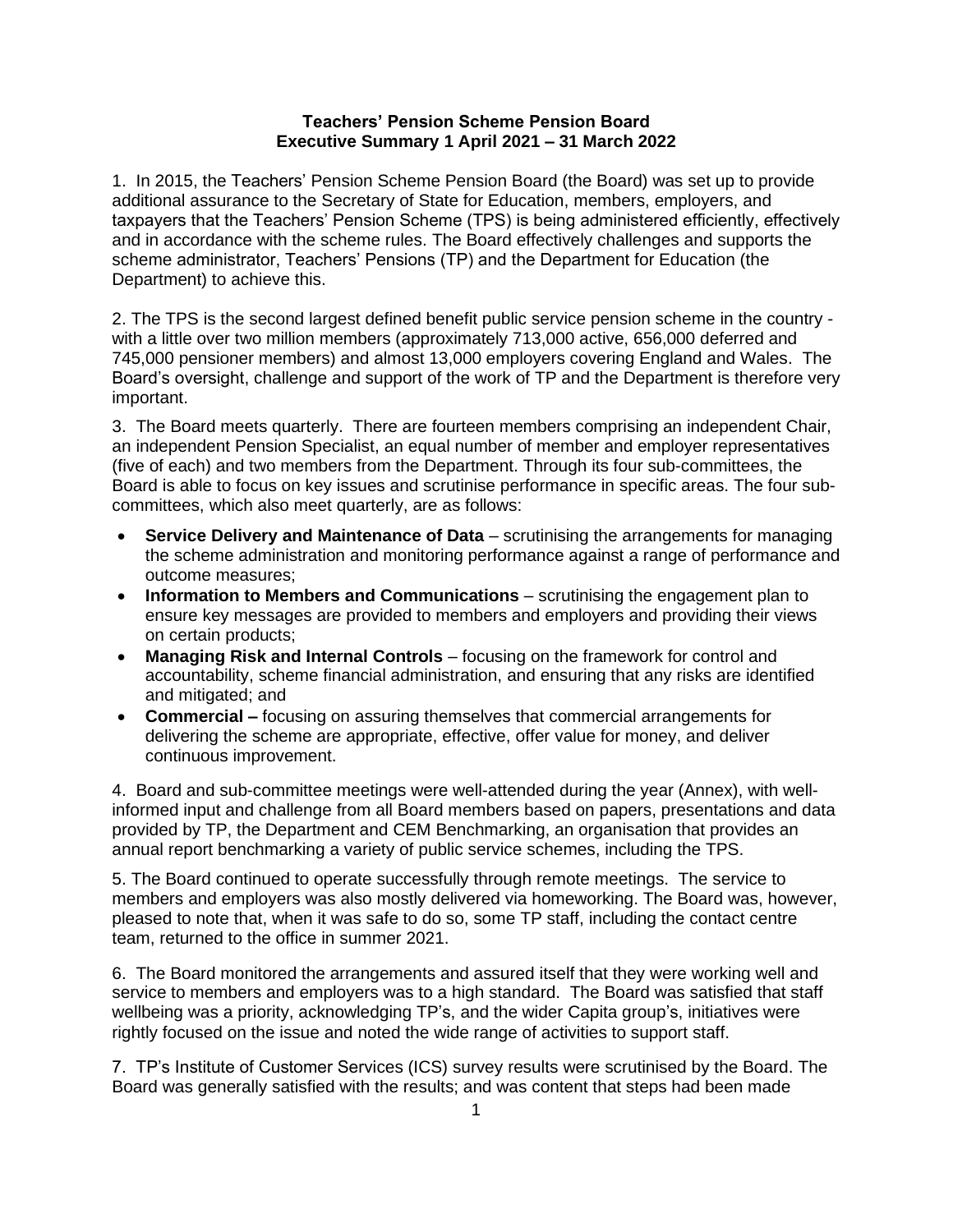## **Teachers' Pension Scheme Pension Board Executive Summary 1 April 2021 – 31 March 2022**

1. In 2015, the Teachers' Pension Scheme Pension Board (the Board) was set up to provide additional assurance to the Secretary of State for Education, members, employers, and taxpayers that the Teachers' Pension Scheme (TPS) is being administered efficiently, effectively and in accordance with the scheme rules. The Board effectively challenges and supports the scheme administrator, Teachers' Pensions (TP) and the Department for Education (the Department) to achieve this.

2. The TPS is the second largest defined benefit public service pension scheme in the country with a little over two million members (approximately 713,000 active, 656,000 deferred and 745,000 pensioner members) and almost 13,000 employers covering England and Wales. The Board's oversight, challenge and support of the work of TP and the Department is therefore very important.

3. The Board meets quarterly. There are fourteen members comprising an independent Chair, an independent Pension Specialist, an equal number of member and employer representatives (five of each) and two members from the Department. Through its four sub-committees, the Board is able to focus on key issues and scrutinise performance in specific areas. The four subcommittees, which also meet quarterly, are as follows:

- **Service Delivery and Maintenance of Data** scrutinising the arrangements for managing the scheme administration and monitoring performance against a range of performance and outcome measures;
- **Information to Members and Communications** scrutinising the engagement plan to ensure key messages are provided to members and employers and providing their views on certain products;
- **Managing Risk and Internal Controls** focusing on the framework for control and accountability, scheme financial administration, and ensuring that any risks are identified and mitigated; and
- **Commercial –** focusing on assuring themselves that commercial arrangements for delivering the scheme are appropriate, effective, offer value for money, and deliver continuous improvement.

4. Board and sub-committee meetings were well-attended during the year (Annex), with wellinformed input and challenge from all Board members based on papers, presentations and data provided by TP, the Department and CEM Benchmarking, an organisation that provides an annual report benchmarking a variety of public service schemes, including the TPS.

5. The Board continued to operate successfully through remote meetings. The service to members and employers was also mostly delivered via homeworking. The Board was, however, pleased to note that, when it was safe to do so, some TP staff, including the contact centre team, returned to the office in summer 2021.

6. The Board monitored the arrangements and assured itself that they were working well and service to members and employers was to a high standard. The Board was satisfied that staff wellbeing was a priority, acknowledging TP's, and the wider Capita group's, initiatives were rightly focused on the issue and noted the wide range of activities to support staff.

7. TP's Institute of Customer Services (ICS) survey results were scrutinised by the Board. The Board was generally satisfied with the results; and was content that steps had been made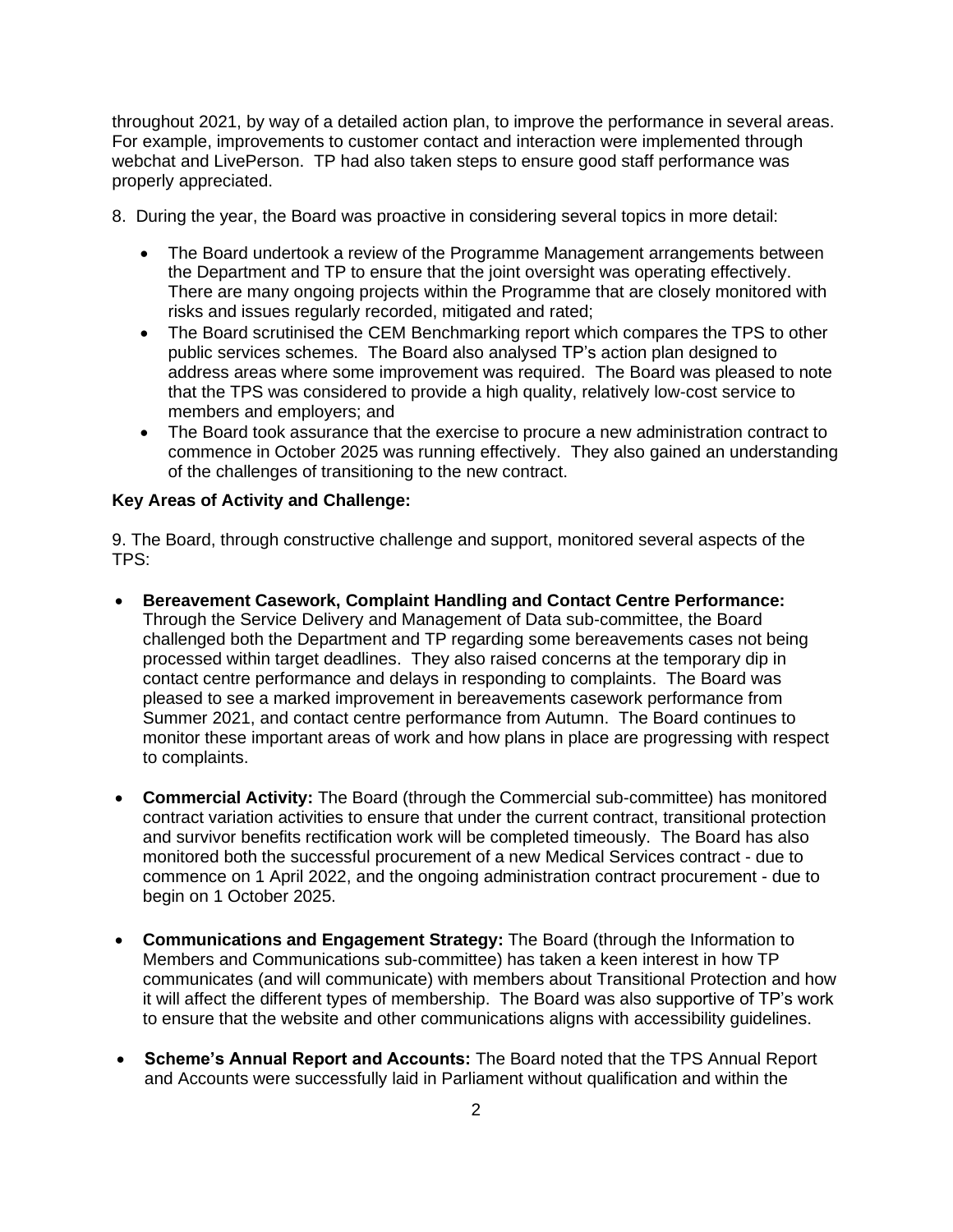throughout 2021, by way of a detailed action plan, to improve the performance in several areas. For example, improvements to customer contact and interaction were implemented through webchat and LivePerson. TP had also taken steps to ensure good staff performance was properly appreciated.

- 8. During the year, the Board was proactive in considering several topics in more detail:
	- The Board undertook a review of the Programme Management arrangements between the Department and TP to ensure that the joint oversight was operating effectively. There are many ongoing projects within the Programme that are closely monitored with risks and issues regularly recorded, mitigated and rated;
	- The Board scrutinised the CEM Benchmarking report which compares the TPS to other public services schemes. The Board also analysed TP's action plan designed to address areas where some improvement was required. The Board was pleased to note that the TPS was considered to provide a high quality, relatively low-cost service to members and employers; and
	- The Board took assurance that the exercise to procure a new administration contract to commence in October 2025 was running effectively. They also gained an understanding of the challenges of transitioning to the new contract.

## **Key Areas of Activity and Challenge:**

9. The Board, through constructive challenge and support, monitored several aspects of the TPS:

- **Bereavement Casework, Complaint Handling and Contact Centre Performance:** Through the Service Delivery and Management of Data sub-committee, the Board challenged both the Department and TP regarding some bereavements cases not being processed within target deadlines. They also raised concerns at the temporary dip in contact centre performance and delays in responding to complaints. The Board was pleased to see a marked improvement in bereavements casework performance from Summer 2021, and contact centre performance from Autumn. The Board continues to monitor these important areas of work and how plans in place are progressing with respect to complaints.
- **Commercial Activity:** The Board (through the Commercial sub-committee) has monitored contract variation activities to ensure that under the current contract, transitional protection and survivor benefits rectification work will be completed timeously. The Board has also monitored both the successful procurement of a new Medical Services contract - due to commence on 1 April 2022, and the ongoing administration contract procurement - due to begin on 1 October 2025.
- **Communications and Engagement Strategy:** The Board (through the Information to Members and Communications sub-committee) has taken a keen interest in how TP communicates (and will communicate) with members about Transitional Protection and how it will affect the different types of membership. The Board was also supportive of TP's work to ensure that the website and other communications aligns with accessibility guidelines.
- **Scheme's Annual Report and Accounts:** The Board noted that the TPS Annual Report and Accounts were successfully laid in Parliament without qualification and within the